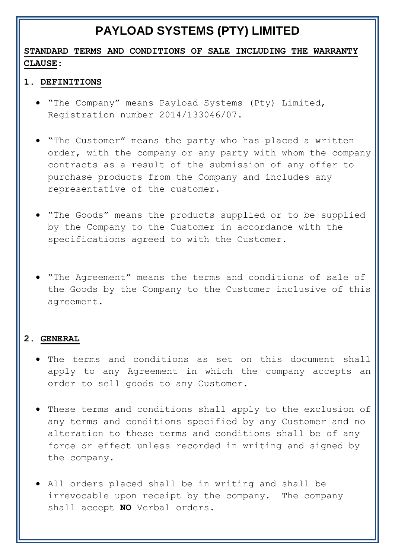# **PAYLOAD SYSTEMS (PTY) LIMITED**

## **STANDARD TERMS AND CONDITIONS OF SALE INCLUDING THE WARRANTY CLAUSE:**

#### **1. DEFINITIONS**

- "The Company" means Payload Systems (Pty) Limited, Registration number 2014/133046/07.
- "The Customer" means the party who has placed a written order, with the company or any party with whom the company contracts as a result of the submission of any offer to purchase products from the Company and includes any representative of the customer.
- "The Goods" means the products supplied or to be supplied by the Company to the Customer in accordance with the specifications agreed to with the Customer.
- "The Agreement" means the terms and conditions of sale of the Goods by the Company to the Customer inclusive of this agreement.

#### **2. GENERAL**

- The terms and conditions as set on this document shall apply to any Agreement in which the company accepts an order to sell goods to any Customer.
- These terms and conditions shall apply to the exclusion of any terms and conditions specified by any Customer and no alteration to these terms and conditions shall be of any force or effect unless recorded in writing and signed by the company.
- All orders placed shall be in writing and shall be irrevocable upon receipt by the company. The company shall accept **NO** Verbal orders.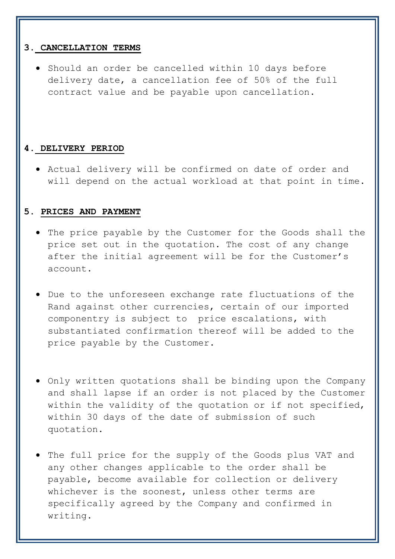#### **3. CANCELLATION TERMS**

 Should an order be cancelled within 10 days before delivery date, a cancellation fee of 50% of the full contract value and be payable upon cancellation**.**

#### **4. DELIVERY PERIOD**

 Actual delivery will be confirmed on date of order and will depend on the actual workload at that point in time.

#### **5. PRICES AND PAYMENT**

- The price payable by the Customer for the Goods shall the price set out in the quotation. The cost of any change after the initial agreement will be for the Customer's account.
- Due to the unforeseen exchange rate fluctuations of the Rand against other currencies, certain of our imported componentry is subject to price escalations, with substantiated confirmation thereof will be added to the price payable by the Customer.
- Only written quotations shall be binding upon the Company and shall lapse if an order is not placed by the Customer within the validity of the quotation or if not specified, within 30 days of the date of submission of such quotation.
- The full price for the supply of the Goods plus VAT and any other changes applicable to the order shall be payable, become available for collection or delivery whichever is the soonest, unless other terms are specifically agreed by the Company and confirmed in writing.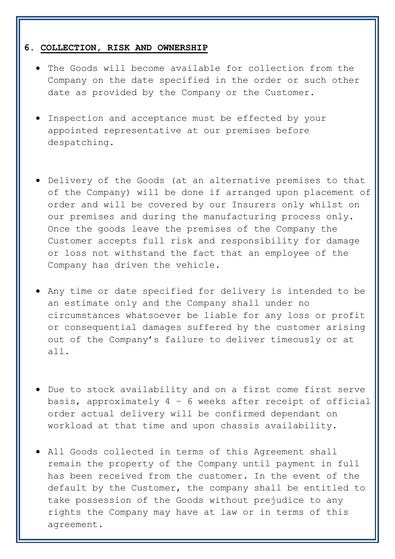#### **6. COLLECTION, RISK AND OWNERSHIP**

- The Goods will become available for collection from the Company on the date specified in the order or such other date as provided by the Company or the Customer.
- Inspection and acceptance must be effected by your appointed representative at our premises before despatching.
- Delivery of the Goods (at an alternative premises to that of the Company) will be done if arranged upon placement of order and will be covered by our Insurers only whilst on our premises and during the manufacturing process only. Once the goods leave the premises of the Company the Customer accepts full risk and responsibility for damage or loss not withstand the fact that an employee of the Company has driven the vehicle.
- Any time or date specified for delivery is intended to be an estimate only and the Company shall under no circumstances whatsoever be liable for any loss or profit or consequential damages suffered by the customer arising out of the Company's failure to deliver timeously or at all.
- Due to stock availability and on a first come first serve basis, approximately 4 – 6 weeks after receipt of official order actual delivery will be confirmed dependant on workload at that time and upon chassis availability.
- All Goods collected in terms of this Agreement shall remain the property of the Company until payment in full has been received from the customer. In the event of the default by the Customer, the company shall be entitled to take possession of the Goods without prejudice to any rights the Company may have at law or in terms of this agreement.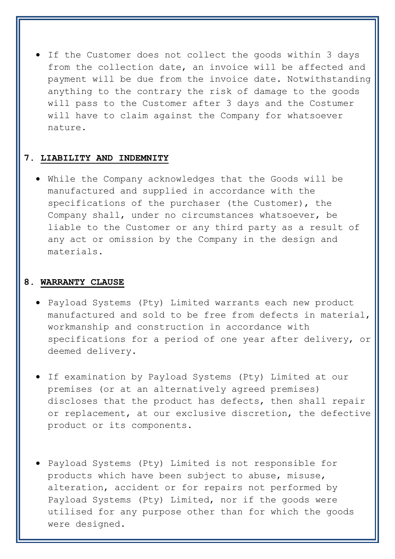If the Customer does not collect the goods within 3 days from the collection date, an invoice will be affected and payment will be due from the invoice date. Notwithstanding anything to the contrary the risk of damage to the goods will pass to the Customer after 3 days and the Costumer will have to claim against the Company for whatsoever nature.

#### **7. LIABILITY AND INDEMNITY**

 While the Company acknowledges that the Goods will be manufactured and supplied in accordance with the specifications of the purchaser (the Customer), the Company shall, under no circumstances whatsoever, be liable to the Customer or any third party as a result of any act or omission by the Company in the design and materials.

#### **8. WARRANTY CLAUSE**

- Payload Systems (Pty) Limited warrants each new product manufactured and sold to be free from defects in material, workmanship and construction in accordance with specifications for a period of one year after delivery, or deemed delivery.
- If examination by Payload Systems (Pty) Limited at our premises (or at an alternatively agreed premises) discloses that the product has defects, then shall repair or replacement, at our exclusive discretion, the defective product or its components.
- Payload Systems (Pty) Limited is not responsible for products which have been subject to abuse, misuse, alteration, accident or for repairs not performed by Payload Systems (Pty) Limited, nor if the goods were utilised for any purpose other than for which the goods were designed.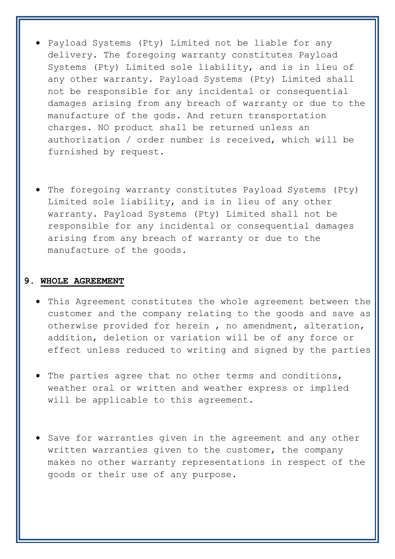- Payload Systems (Pty) Limited not be liable for any delivery. The foregoing warranty constitutes Payload Systems (Pty) Limited sole liability, and is in lieu of any other warranty. Payload Systems (Pty) Limited shall not be responsible for any incidental or consequential damages arising from any breach of warranty or due to the manufacture of the gods. And return transportation charges. NO product shall be returned unless an authorization / order number is received, which will be furnished by request.
- The foregoing warranty constitutes Payload Systems (Pty) Limited sole liability, and is in lieu of any other warranty. Payload Systems (Pty) Limited shall not be responsible for any incidental or consequential damages arising from any breach of warranty or due to the manufacture of the goods.

### **9. WHOLE AGREEMENT**

- This Agreement constitutes the whole agreement between the customer and the company relating to the goods and save as otherwise provided for herein , no amendment, alteration, addition, deletion or variation will be of any force or effect unless reduced to writing and signed by the parties
- The parties agree that no other terms and conditions, weather oral or written and weather express or implied will be applicable to this agreement.
- **•** Save for warranties given in the agreement and any other written warranties given to the customer, the company makes no other warranty representations in respect of the goods or their use of any purpose.